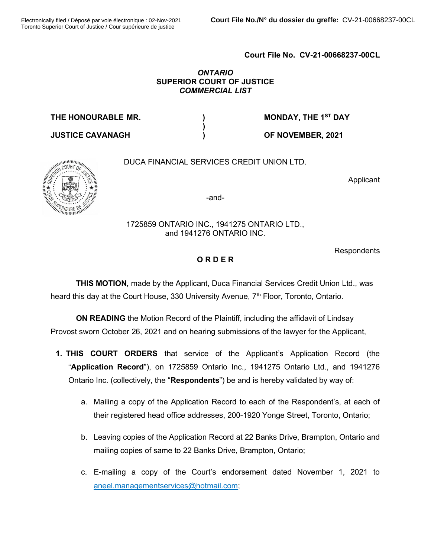## Court File No. CV-21-00668237-00CL

#### **ONTARIO** SUPERIOR COURT OF JUSTICE COMMERCIAL LIST

THE HONOURABLE MR. (a) THE HONOURABLE MR.

USTICE CAVANAGH  $\qquad \qquad$ ) OF NOVEMBER, 2021

# DUCA FINANCIAL SERVICES CREDIT UNION LTD.

 $\lambda$ 

Applicant



-and-

## 1725859 ONTARIO INC., 1941275 ONTARIO LTD., and 1941276 ONTARIO INC.

Respondents

# ORDER

THIS MOTION, made by the Applicant, Duca Financial Services Credit Union Ltd., was heard this day at the Court House, 330 University Avenue, 7<sup>th</sup> Floor, Toronto, Ontario.

ON READING the Motion Record of the Plaintiff, including the affidavit of Lindsay Provost sworn October 26, 2021 and on hearing submissions of the lawyer for the Applicant,

- 1. THIS COURT ORDERS that service of the Applicant's Application Record (the "Application Record"), on 1725859 Ontario Inc., 1941275 Ontario Ltd., and 1941276 Ontario Inc. (collectively, the "**Respondents**") be and is hereby validated by way of:
	- a. Mailing a copy of the Application Record to each of the Respondent's, at each of their registered head office addresses, 200-1920 Yonge Street, Toronto, Ontario;
	- b. Leaving copies of the Application Record at 22 Banks Drive, Brampton, Ontario and mailing copies of same to 22 Banks Drive, Brampton, Ontario;
	- c. E-mailing a copy of the Court's endorsement dated November 1, 2021 to  $\Box$ aneel.managementservices@hotmail.com;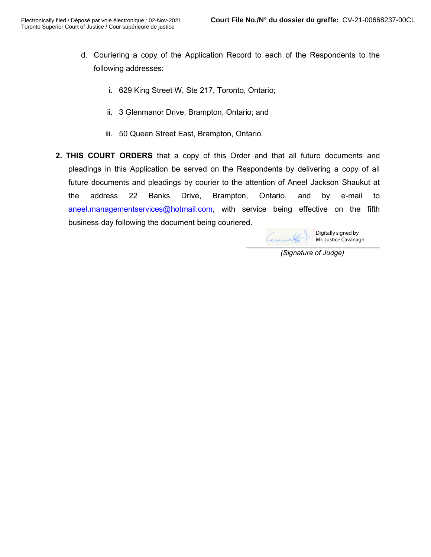- d. Couriering a copy of the Application Record to each of the Respondents to the following addresses:
	- i. 629 King Street W, Ste 217, Toronto, Ontario;
	- ii. 3 Glenmanor Drive, Brampton, Ontario; and
	- iii. 50 Queen Street East, Brampton, Ontario.
- 2. THIS COURT ORDERS that a copy of this Order and that all future documents and pleadings in this Application be served on the Respondents by delivering a copy of all future documents and pleadings by courier to the attention of Aneel Jackson Shaukut at the address 22 Banks Drive, Brampton, Ontario, and by e-mail to aneel.managementservices@hotmail.com, with service being effective on the fifth business day following the document being couriered.

OOOOOOOOOOOOOOOOOOOOOOOOOOOOOOO Digitally signed by Mr. Justice Cavanagh

(Signature of Judge)